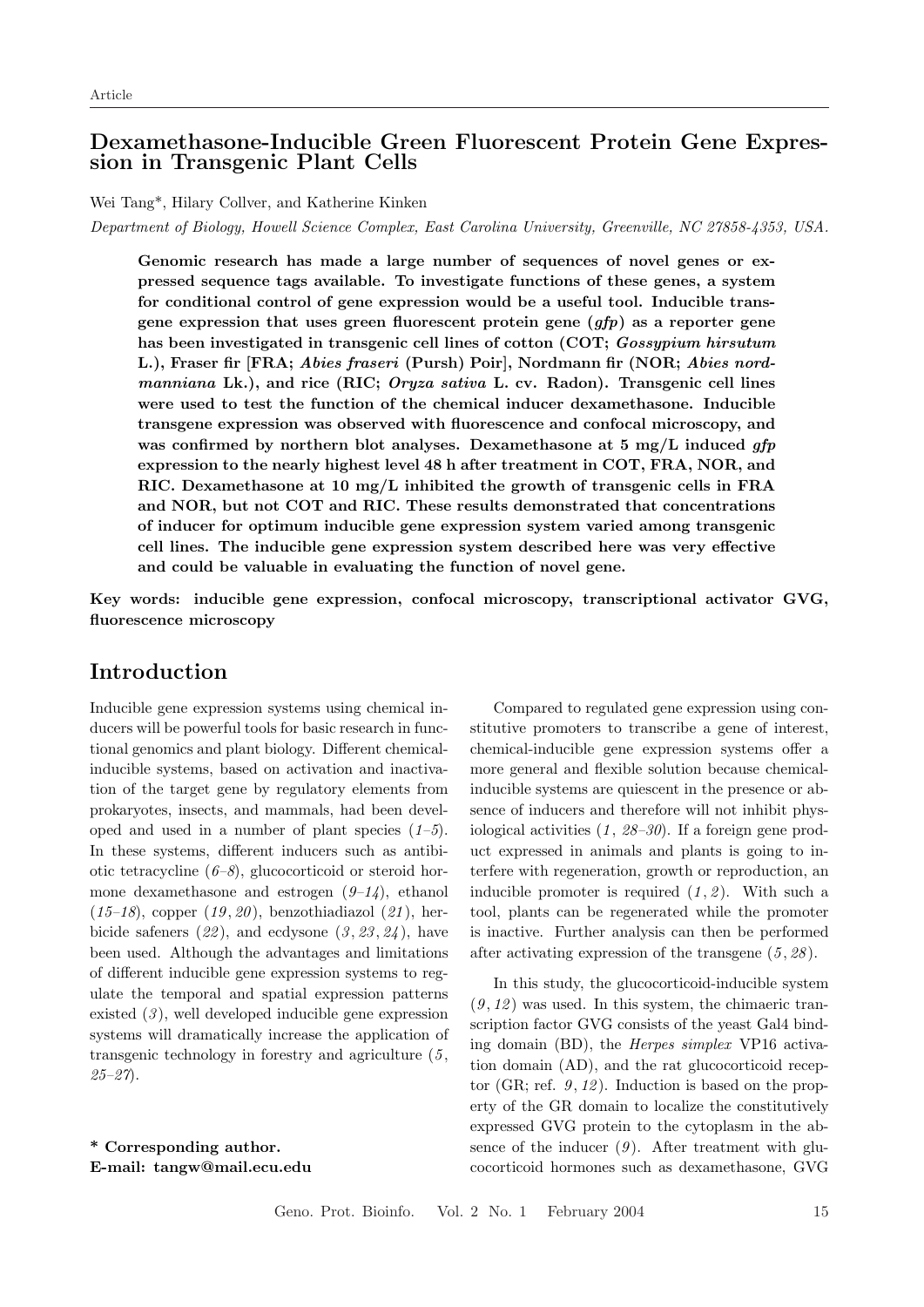### Dexamethasone-Inducible Green Fluorescent Protein Gene Expression in Transgenic Plant Cells

Wei Tang\*, Hilary Collver, and Katherine Kinken

Department of Biology, Howell Science Complex, East Carolina University, Greenville, NC 27858-4353, USA.

Genomic research has made a large number of sequences of novel genes or expressed sequence tags available. To investigate functions of these genes, a system for conditional control of gene expression would be a useful tool. Inducible transgene expression that uses green fluorescent protein gene  $(qfp)$  as a reporter gene has been investigated in transgenic cell lines of cotton (COT; *Gossypium hirsutum* L.), Fraser fir [FRA; Abies fraseri (Pursh) Poir], Nordmann fir (NOR; Abies nordmanniana Lk.), and rice (RIC; Oryza sativa L. cv. Radon). Transgenic cell lines were used to test the function of the chemical inducer dexamethasone. Inducible transgene expression was observed with fluorescence and confocal microscopy, and was confirmed by northern blot analyses. Dexamethasone at 5 mg/L induced  $qfp$ expression to the nearly highest level 48 h after treatment in COT, FRA, NOR, and RIC. Dexamethasone at 10  $mg/L$  inhibited the growth of transgenic cells in FRA and NOR, but not COT and RIC. These results demonstrated that concentrations of inducer for optimum inducible gene expression system varied among transgenic cell lines. The inducible gene expression system described here was very effective and could be valuable in evaluating the function of novel gene.

Key words: inducible gene expression, confocal microscopy, transcriptional activator GVG, fluorescence microscopy

### Introduction

Inducible gene expression systems using chemical inducers will be powerful tools for basic research in functional genomics and plant biology. Different chemicalinducible systems, based on activation and inactivation of the target gene by regulatory elements from prokaryotes, insects, and mammals, had been developed and used in a number of plant species  $(1-5)$ . In these systems, different inducers such as antibiotic tetracycline  $(6-8)$ , glucocorticoid or steroid hormone dexamethasone and estrogen  $(9-14)$ , ethanol  $(15-18)$ , copper  $(19, 20)$ , benzothiadiazol  $(21)$ , herbicide safeners  $(22)$ , and ecdysone  $(3, 23, 24)$ , have been used. Although the advantages and limitations of different inducible gene expression systems to regulate the temporal and spatial expression patterns existed  $(3)$ , well developed inducible gene expression systems will dramatically increase the application of transgenic technology in forestry and agriculture  $(5, 1)$  $25 - 27$ .

\* Corresponding author. E-mail: tangw@mail.ecu.edu

Compared to regulated gene expression using constitutive promoters to transcribe a gene of interest, chemical-inducible gene expression systems offer a more general and flexible solution because chemicalinducible systems are quiescent in the presence or absence of inducers and therefore will not inhibit physiological activities  $(1, 28-30)$ . If a foreign gene product expressed in animals and plants is going to interfere with regeneration, growth or reproduction, an inducible promoter is required  $(1, 2)$ . With such a tool, plants can be regenerated while the promoter is inactive. Further analysis can then be performed after activating expression of the transgene  $(5, 28)$ .

In this study, the glucocorticoid-inducible system  $(9, 12)$  was used. In this system, the chimaeric transcription factor GVG consists of the yeast Gal4 binding domain (BD), the Herpes simplex VP16 activation domain (AD), and the rat glucocorticoid receptor (GR; ref.  $9, 12$ ). Induction is based on the property of the GR domain to localize the constitutively expressed GVG protein to the cytoplasm in the absence of the inducer  $(9)$ . After treatment with glucocorticoid hormones such as dexamethasone, GVG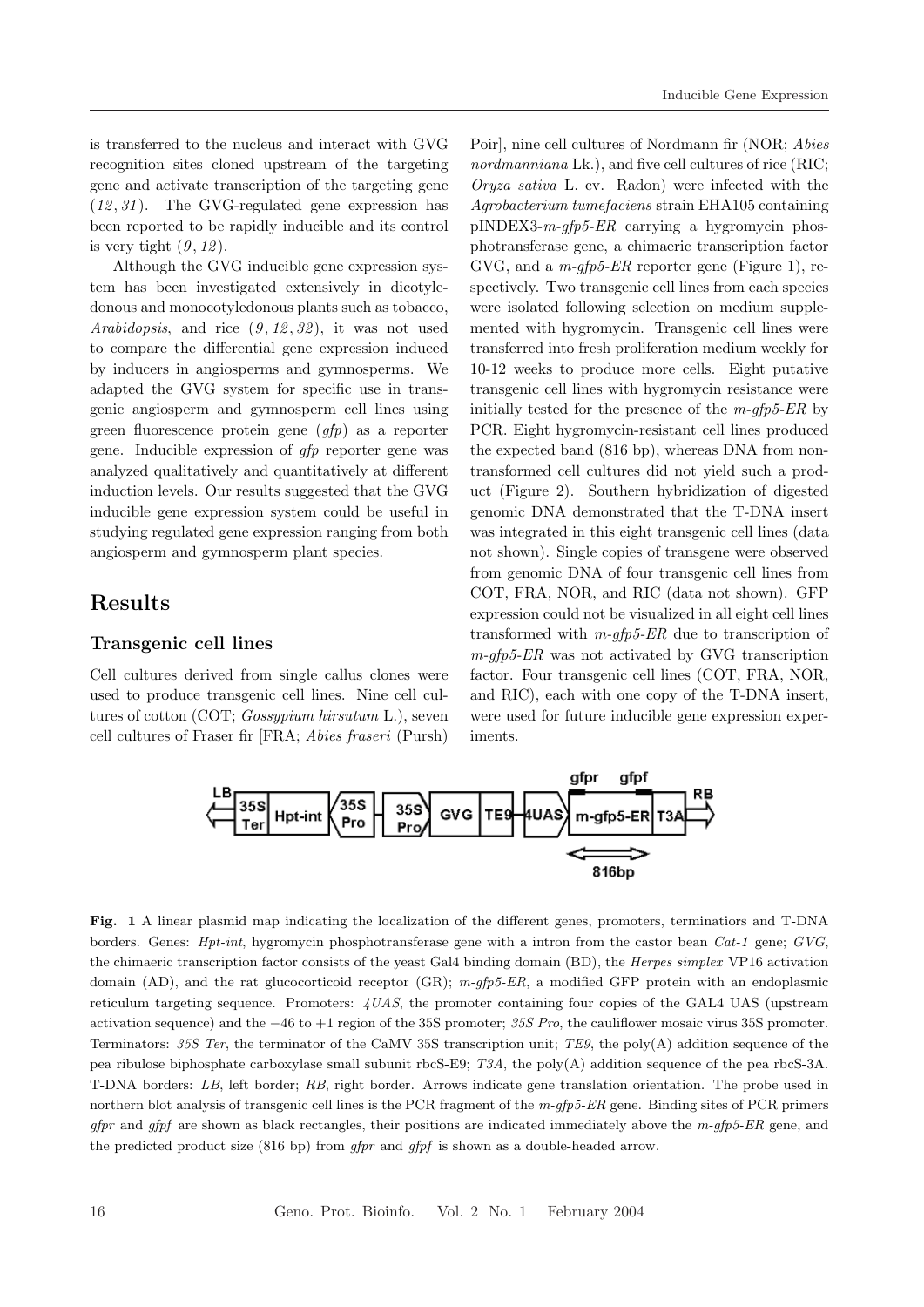is transferred to the nucleus and interact with GVG recognition sites cloned upstream of the targeting gene and activate transcription of the targeting gene  $(12, 31)$ . The GVG-regulated gene expression has been reported to be rapidly inducible and its control is very tight  $(9, 12)$ .

Although the GVG inducible gene expression system has been investigated extensively in dicotyledonous and monocotyledonous plants such as tobacco, Arabidopsis, and rice  $(9, 12, 32)$ , it was not used to compare the differential gene expression induced by inducers in angiosperms and gymnosperms. We adapted the GVG system for specific use in transgenic angiosperm and gymnosperm cell lines using green fluorescence protein gene (gfp) as a reporter gene. Inducible expression of gfp reporter gene was analyzed qualitatively and quantitatively at different induction levels. Our results suggested that the GVG inducible gene expression system could be useful in studying regulated gene expression ranging from both angiosperm and gymnosperm plant species.

### Results

#### Transgenic cell lines

Cell cultures derived from single callus clones were used to produce transgenic cell lines. Nine cell cultures of cotton (COT; Gossypium hirsutum L.), seven cell cultures of Fraser fir [FRA; Abies fraseri (Pursh)

Poir], nine cell cultures of Nordmann fir (NOR; Abies nordmanniana Lk.), and five cell cultures of rice (RIC; Oryza sativa L. cv. Radon) were infected with the Agrobacterium tumefaciens strain EHA105 containing  $pINDEX3-m-qfp5-ER$  carrying a hygromycin phosphotransferase gene, a chimaeric transcription factor GVG, and a  $m$ -qfp5-ER reporter gene (Figure 1), respectively. Two transgenic cell lines from each species were isolated following selection on medium supplemented with hygromycin. Transgenic cell lines were transferred into fresh proliferation medium weekly for 10-12 weeks to produce more cells. Eight putative transgenic cell lines with hygromycin resistance were initially tested for the presence of the  $m$ -gfp5-ER by PCR. Eight hygromycin-resistant cell lines produced the expected band (816 bp), whereas DNA from nontransformed cell cultures did not yield such a product (Figure 2). Southern hybridization of digested genomic DNA demonstrated that the T-DNA insert was integrated in this eight transgenic cell lines (data not shown). Single copies of transgene were observed from genomic DNA of four transgenic cell lines from COT, FRA, NOR, and RIC (data not shown). GFP expression could not be visualized in all eight cell lines transformed with  $m$ -gfp5-ER due to transcription of  $m$ -gfp5-ER was not activated by GVG transcription factor. Four transgenic cell lines (COT, FRA, NOR, and RIC), each with one copy of the T-DNA insert, were used for future inducible gene expression experiments.



Fig. 1 A linear plasmid map indicating the localization of the different genes, promoters, terminatiors and T-DNA borders. Genes: Hpt-int, hygromycin phosphotransferase gene with a intron from the castor bean Cat-1 gene; GVG, the chimaeric transcription factor consists of the yeast Gal4 binding domain (BD), the *Herpes simplex* VP16 activation domain (AD), and the rat glucocorticoid receptor (GR);  $m\text{-}gfp5\text{-}ER$ , a modified GFP protein with an endoplasmic reticulum targeting sequence. Promoters: 4UAS, the promoter containing four copies of the GAL4 UAS (upstream activation sequence) and the  $-46$  to  $+1$  region of the 35S promoter; 35S Pro, the cauliflower mosaic virus 35S promoter. Terminators: 35S Ter, the terminator of the CaMV 35S transcription unit; TE9, the poly(A) addition sequence of the pea ribulose biphosphate carboxylase small subunit rbcS-E9; T3A, the poly(A) addition sequence of the pea rbcS-3A. T-DNA borders: LB, left border; RB, right border. Arrows indicate gene translation orientation. The probe used in northern blot analysis of transgenic cell lines is the PCR fragment of the  $m$ -gfp5-ER gene. Binding sites of PCR primers  $gfpr$  and  $gfpf$  are shown as black rectangles, their positions are indicated immediately above the  $m\text{-}gfp5\text{-}ER$  gene, and the predicted product size (816 bp) from  $gfpr$  and  $gfpf$  is shown as a double-headed arrow.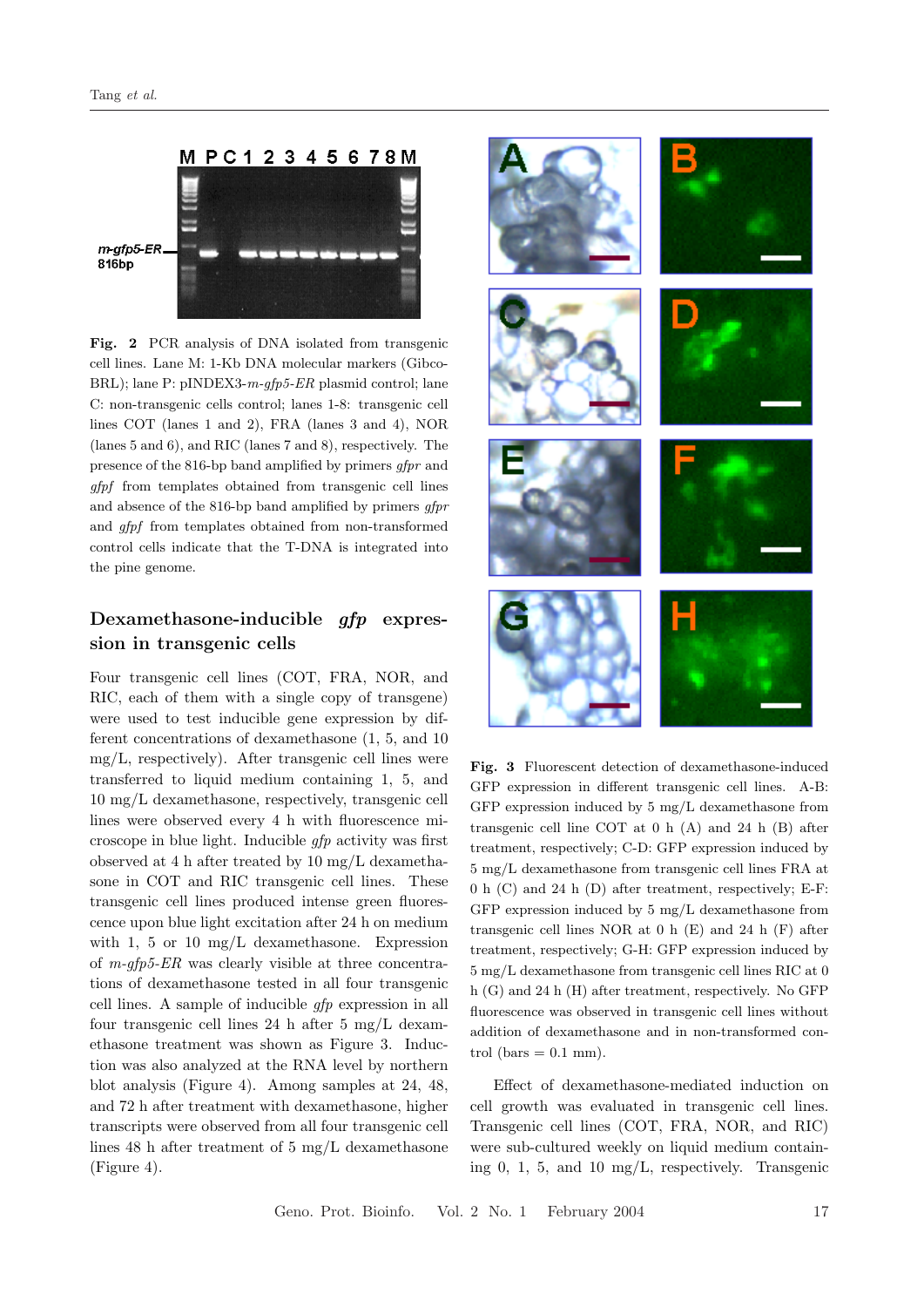

Fig. 2 PCR analysis of DNA isolated from transgenic cell lines. Lane M: 1-Kb DNA molecular markers (Gibco-BRL); lane P: pINDEX3-m-gfp5-ER plasmid control; lane C: non-transgenic cells control; lanes 1-8: transgenic cell lines COT (lanes 1 and 2), FRA (lanes 3 and 4), NOR (lanes 5 and 6), and RIC (lanes 7 and 8), respectively. The presence of the 816-bp band amplified by primers gfpr and gfpf from templates obtained from transgenic cell lines and absence of the 816-bp band amplified by primers gfpr and gfpf from templates obtained from non-transformed control cells indicate that the T-DNA is integrated into the pine genome.

# Dexamethasone-inducible gfp expression in transgenic cells

Four transgenic cell lines (COT, FRA, NOR, and RIC, each of them with a single copy of transgene) were used to test inducible gene expression by different concentrations of dexamethasone (1, 5, and 10 mg/L, respectively). After transgenic cell lines were transferred to liquid medium containing 1, 5, and 10 mg/L dexamethasone, respectively, transgenic cell lines were observed every 4 h with fluorescence microscope in blue light. Inducible gfp activity was first observed at 4 h after treated by 10 mg/L dexamethasone in COT and RIC transgenic cell lines. These transgenic cell lines produced intense green fluorescence upon blue light excitation after 24 h on medium with 1, 5 or 10 mg/L dexamethasone. Expression of  $m$ -gfp5-ER was clearly visible at three concentrations of dexamethasone tested in all four transgenic cell lines. A sample of inducible gfp expression in all four transgenic cell lines 24 h after 5 mg/L dexamethasone treatment was shown as Figure 3. Induction was also analyzed at the RNA level by northern blot analysis (Figure 4). Among samples at 24, 48, and 72 h after treatment with dexamethasone, higher transcripts were observed from all four transgenic cell lines 48 h after treatment of 5 mg/L dexamethasone (Figure 4).



Fig. 3 Fluorescent detection of dexamethasone-induced GFP expression in different transgenic cell lines. A-B: GFP expression induced by 5 mg/L dexamethasone from transgenic cell line COT at 0 h (A) and 24 h (B) after treatment, respectively; C-D: GFP expression induced by 5 mg/L dexamethasone from transgenic cell lines FRA at 0 h (C) and 24 h (D) after treatment, respectively; E-F: GFP expression induced by 5 mg/L dexamethasone from transgenic cell lines NOR at 0 h (E) and 24 h (F) after treatment, respectively; G-H: GFP expression induced by 5 mg/L dexamethasone from transgenic cell lines RIC at 0 h (G) and 24 h (H) after treatment, respectively. No GFP fluorescence was observed in transgenic cell lines without addition of dexamethasone and in non-transformed control (bars  $= 0.1$  mm).

Effect of dexamethasone-mediated induction on cell growth was evaluated in transgenic cell lines. Transgenic cell lines (COT, FRA, NOR, and RIC) were sub-cultured weekly on liquid medium containing 0, 1, 5, and 10 mg/L, respectively. Transgenic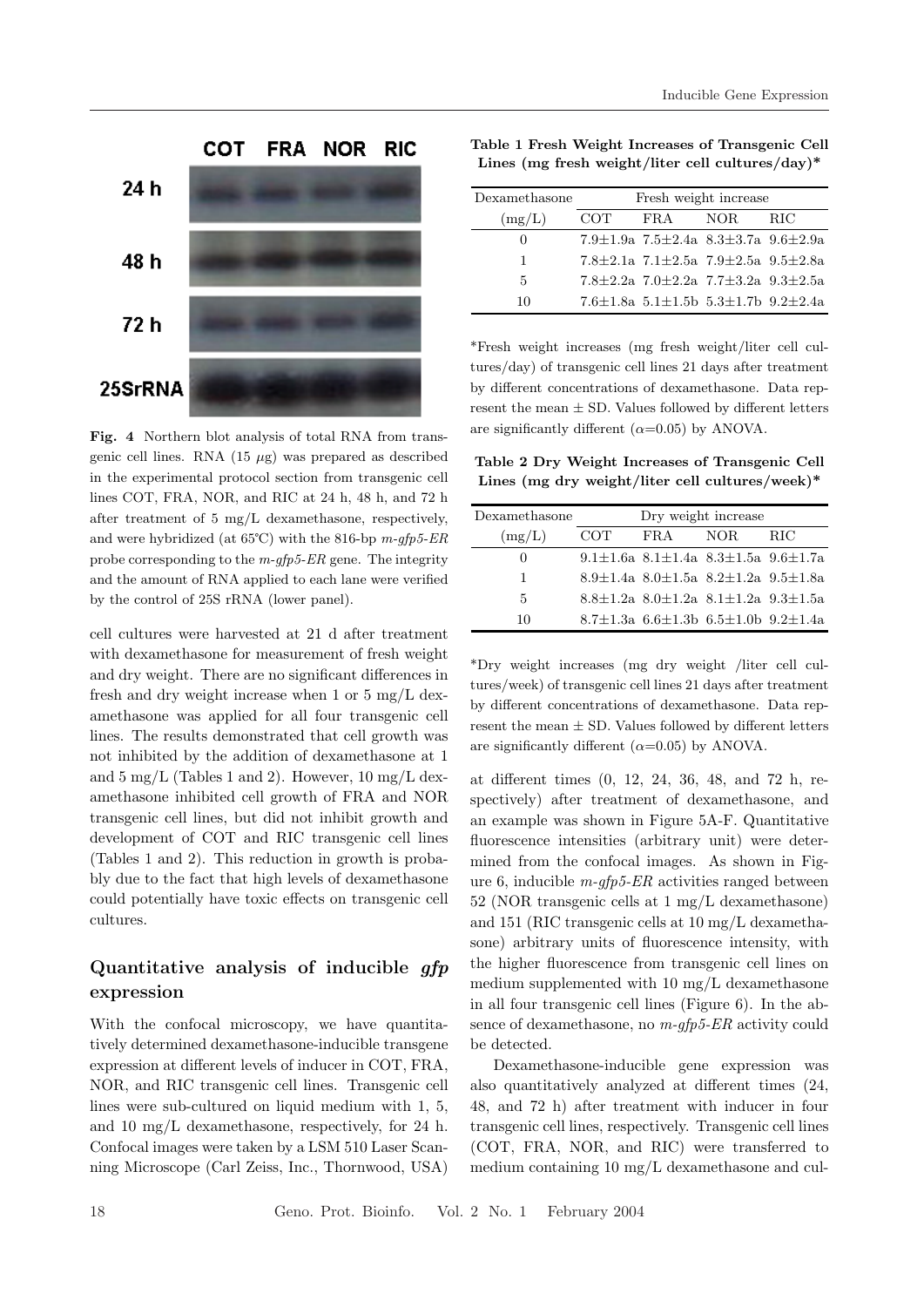

Fig. 4 Northern blot analysis of total RNA from transgenic cell lines. RNA  $(15 \mu g)$  was prepared as described in the experimental protocol section from transgenic cell lines COT, FRA, NOR, and RIC at 24 h, 48 h, and 72 h after treatment of 5 mg/L dexamethasone, respectively, and were hybridized (at  $65^{\circ}$ C) with the 816-bp m-qfp5-ER probe corresponding to the  $m$ -q $fp$ 5-ER gene. The integrity and the amount of RNA applied to each lane were verified by the control of 25S rRNA (lower panel).

cell cultures were harvested at 21 d after treatment with dexamethasone for measurement of fresh weight and dry weight. There are no significant differences in fresh and dry weight increase when 1 or 5 mg/L dexamethasone was applied for all four transgenic cell lines. The results demonstrated that cell growth was not inhibited by the addition of dexamethasone at 1 and  $5 \text{ mg/L}$  (Tables 1 and 2). However,  $10 \text{ mg/L}$  dexamethasone inhibited cell growth of FRA and NOR transgenic cell lines, but did not inhibit growth and development of COT and RIC transgenic cell lines (Tables 1 and 2). This reduction in growth is probably due to the fact that high levels of dexamethasone could potentially have toxic effects on transgenic cell cultures.

### Quantitative analysis of inducible gfp expression

With the confocal microscopy, we have quantitatively determined dexamethasone-inducible transgene expression at different levels of inducer in COT, FRA, NOR, and RIC transgenic cell lines. Transgenic cell lines were sub-cultured on liquid medium with 1, 5, and 10 mg/L dexamethasone, respectively, for 24 h. Confocal images were taken by a LSM 510 Laser Scanning Microscope (Carl Zeiss, Inc., Thornwood, USA)

Table 1 Fresh Weight Increases of Transgenic Cell Lines (mg fresh weight/liter cell cultures/day)\*

| Dexamethasone | Fresh weight increase |                                                             |      |      |  |
|---------------|-----------------------|-------------------------------------------------------------|------|------|--|
| (mg/L)        | <b>COT</b>            | $_{\rm FRA}$                                                | NOR. | -RIC |  |
|               |                       | 7.9 $\pm$ 1.9a 7.5 $\pm$ 2.4a 8.3 $\pm$ 3.7a 9.6 $\pm$ 2.9a |      |      |  |
| 1             |                       | $7.8 + 2.1a$ $7.1 + 2.5a$ $7.9 + 2.5a$ $9.5 + 2.8a$         |      |      |  |
| 5             |                       | $7.8 + 2.2a$ $7.0 + 2.2a$ $7.7 + 3.2a$ $9.3 + 2.5a$         |      |      |  |
| 10            |                       | 7.6 $\pm$ 1.8a 5.1 $\pm$ 1.5b 5.3 $\pm$ 1.7b 9.2 $\pm$ 2.4a |      |      |  |

\*Fresh weight increases (mg fresh weight/liter cell cultures/day) of transgenic cell lines 21 days after treatment by different concentrations of dexamethasone. Data represent the mean  $\pm$  SD. Values followed by different letters are significantly different  $(\alpha=0.05)$  by ANOVA.

Table 2 Dry Weight Increases of Transgenic Cell Lines (mg dry weight/liter cell cultures/week)\*

| Dexamethasone    | Dry weight increase |              |                                                                 |            |  |
|------------------|---------------------|--------------|-----------------------------------------------------------------|------------|--|
| (mg/L)           | COT.                | $_{\rm FRA}$ | NOR.                                                            | <b>RIC</b> |  |
| $\left( \right)$ |                     |              | 9.1 $\pm$ 1.6a 8.1 $\pm$ 1.4a 8.3 $\pm$ 1.5a 9.6 $\pm$ 1.7a     |            |  |
| 1                |                     |              | 8.9 $\pm$ 1.4a 8.0 $\pm$ 1.5a 8.2 $\pm$ 1.2a 9.5 $\pm$ 1.8a     |            |  |
| 5                |                     |              | $8.8 \pm 1.2$ a $8.0 \pm 1.2$ a $8.1 \pm 1.2$ a $9.3 \pm 1.5$ a |            |  |
| 10               |                     |              | 8.7 $\pm$ 1.3a 6.6 $\pm$ 1.3b 6.5 $\pm$ 1.0b 9.2 $\pm$ 1.4a     |            |  |

\*Dry weight increases (mg dry weight /liter cell cultures/week) of transgenic cell lines 21 days after treatment by different concentrations of dexamethasone. Data represent the mean  $\pm$  SD. Values followed by different letters are significantly different  $(\alpha=0.05)$  by ANOVA.

at different times (0, 12, 24, 36, 48, and 72 h, respectively) after treatment of dexamethasone, and an example was shown in Figure 5A-F. Quantitative fluorescence intensities (arbitrary unit) were determined from the confocal images. As shown in Figure 6, inducible  $m$ -gfp5-ER activities ranged between 52 (NOR transgenic cells at 1 mg/L dexamethasone) and 151 (RIC transgenic cells at 10 mg/L dexamethasone) arbitrary units of fluorescence intensity, with the higher fluorescence from transgenic cell lines on medium supplemented with 10 mg/L dexamethasone in all four transgenic cell lines (Figure 6). In the absence of dexamethasone, no m-gfp5-ER activity could be detected.

Dexamethasone-inducible gene expression was also quantitatively analyzed at different times (24, 48, and 72 h) after treatment with inducer in four transgenic cell lines, respectively. Transgenic cell lines (COT, FRA, NOR, and RIC) were transferred to medium containing 10 mg/L dexamethasone and cul-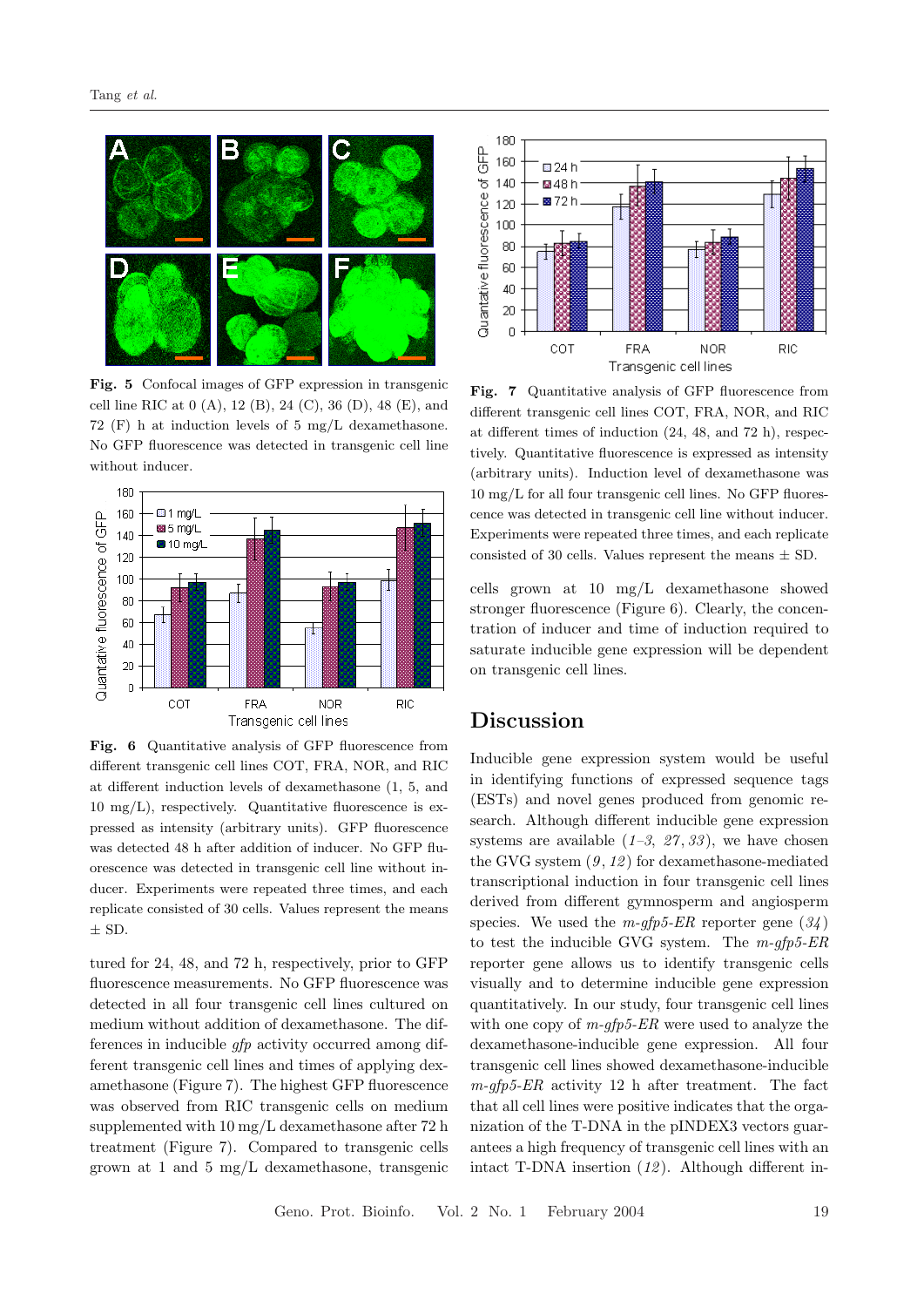

Fig. 5 Confocal images of GFP expression in transgenic cell line RIC at 0 (A), 12 (B), 24 (C), 36 (D), 48 (E), and 72 (F) h at induction levels of 5 mg/L dexamethasone. No GFP fluorescence was detected in transgenic cell line without inducer.



Fig. 6 Quantitative analysis of GFP fluorescence from different transgenic cell lines COT, FRA, NOR, and RIC at different induction levels of dexamethasone (1, 5, and  $10 \text{ mg/L}$ , respectively. Quantitative fluorescence is expressed as intensity (arbitrary units). GFP fluorescence was detected 48 h after addition of inducer. No GFP fluorescence was detected in transgenic cell line without inducer. Experiments were repeated three times, and each replicate consisted of 30 cells. Values represent the means  $\pm$  SD.

tured for 24, 48, and 72 h, respectively, prior to GFP fluorescence measurements. No GFP fluorescence was detected in all four transgenic cell lines cultured on medium without addition of dexamethasone. The differences in inducible gfp activity occurred among different transgenic cell lines and times of applying dexamethasone (Figure 7). The highest GFP fluorescence was observed from RIC transgenic cells on medium supplemented with 10 mg/L dexamethasone after 72 h treatment (Figure 7). Compared to transgenic cells grown at 1 and 5 mg/L dexamethasone, transgenic



Fig. 7 Quantitative analysis of GFP fluorescence from different transgenic cell lines COT, FRA, NOR, and RIC at different times of induction (24, 48, and 72 h), respectively. Quantitative fluorescence is expressed as intensity (arbitrary units). Induction level of dexamethasone was 10 mg/L for all four transgenic cell lines. No GFP fluorescence was detected in transgenic cell line without inducer. Experiments were repeated three times, and each replicate consisted of 30 cells. Values represent the means  $\pm$  SD.

cells grown at 10 mg/L dexamethasone showed stronger fluorescence (Figure 6). Clearly, the concentration of inducer and time of induction required to saturate inducible gene expression will be dependent on transgenic cell lines.

# Discussion

Inducible gene expression system would be useful in identifying functions of expressed sequence tags (ESTs) and novel genes produced from genomic research. Although different inducible gene expression systems are available  $(1-3, 27, 33)$ , we have chosen the GVG system  $(9, 12)$  for dexamethasone-mediated transcriptional induction in four transgenic cell lines derived from different gymnosperm and angiosperm species. We used the  $m$ -gfp5-ER reporter gene  $(34)$ to test the inducible GVG system. The  $m\text{-}qfp5\text{-}ER$ reporter gene allows us to identify transgenic cells visually and to determine inducible gene expression quantitatively. In our study, four transgenic cell lines with one copy of  $m$ -gfp5-ER were used to analyze the dexamethasone-inducible gene expression. All four transgenic cell lines showed dexamethasone-inducible  $m$ -gfp5-ER activity 12 h after treatment. The fact that all cell lines were positive indicates that the organization of the T-DNA in the pINDEX3 vectors guarantees a high frequency of transgenic cell lines with an intact T-DNA insertion  $(12)$ . Although different in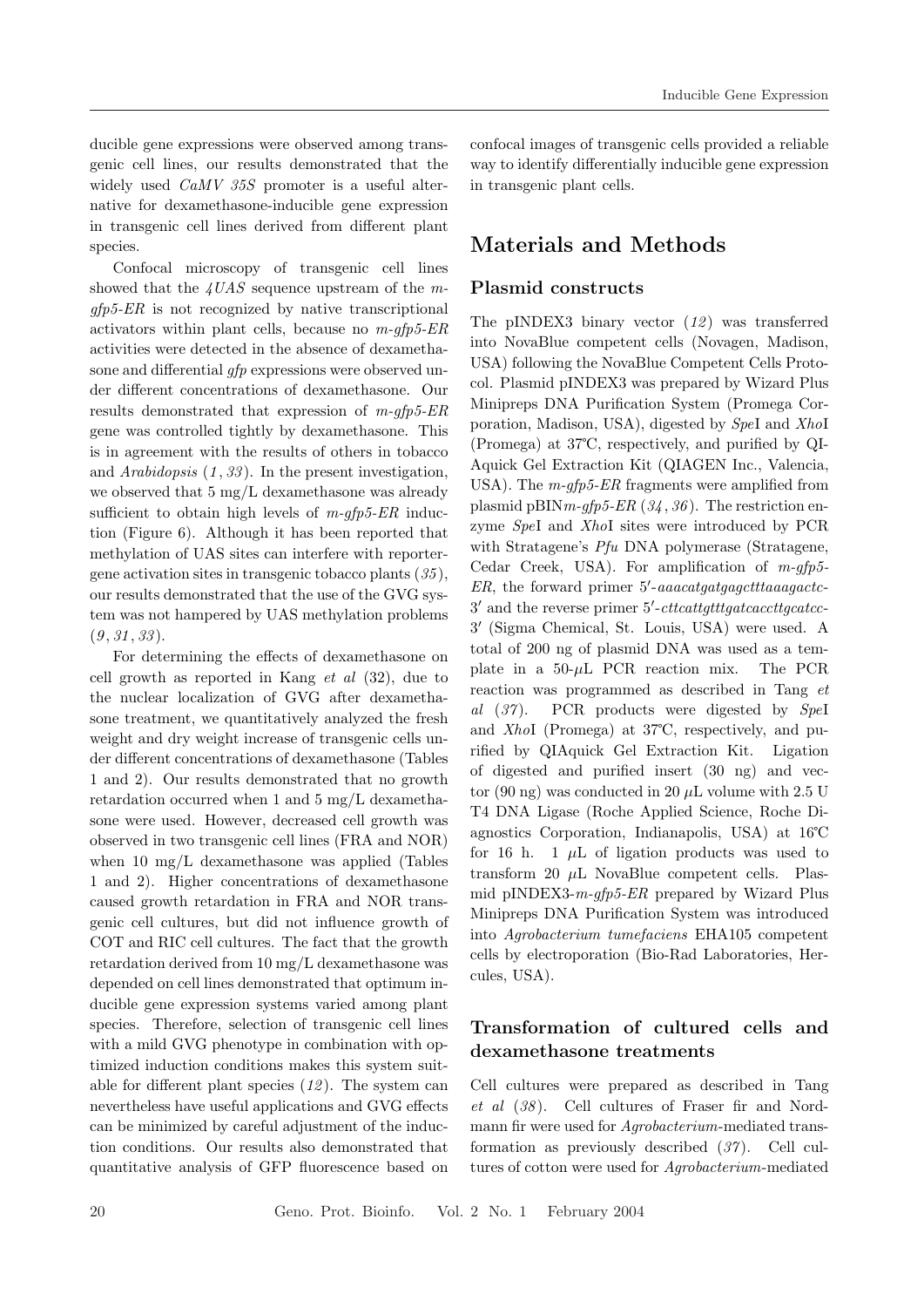ducible gene expressions were observed among transgenic cell lines, our results demonstrated that the widely used *CaMV 35S* promoter is a useful alternative for dexamethasone-inducible gene expression in transgenic cell lines derived from different plant species.

Confocal microscopy of transgenic cell lines showed that the  $4UAS$  sequence upstream of the m $gfp5-ER$  is not recognized by native transcriptional activators within plant cells, because no  $m$ -gfp5-ER activities were detected in the absence of dexamethasone and differential *qfp* expressions were observed under different concentrations of dexamethasone. Our results demonstrated that expression of m-gfp5-ER gene was controlled tightly by dexamethasone. This is in agreement with the results of others in tobacco and Arabidopsis  $(1, 33)$ . In the present investigation, we observed that 5 mg/L dexamethasone was already sufficient to obtain high levels of  $m$ -gfp5-ER induction (Figure 6). Although it has been reported that methylation of UAS sites can interfere with reportergene activation sites in transgenic tobacco plants  $(35)$ , our results demonstrated that the use of the GVG system was not hampered by UAS methylation problems  $(9, 31, 33)$ .

For determining the effects of dexamethasone on cell growth as reported in Kang  $et \ al \ (32)$ , due to the nuclear localization of GVG after dexamethasone treatment, we quantitatively analyzed the fresh weight and dry weight increase of transgenic cells under different concentrations of dexamethasone (Tables 1 and 2). Our results demonstrated that no growth retardation occurred when 1 and 5 mg/L dexamethasone were used. However, decreased cell growth was observed in two transgenic cell lines (FRA and NOR) when 10 mg/L dexamethasone was applied (Tables 1 and 2). Higher concentrations of dexamethasone caused growth retardation in FRA and NOR transgenic cell cultures, but did not influence growth of COT and RIC cell cultures. The fact that the growth retardation derived from 10 mg/L dexamethasone was depended on cell lines demonstrated that optimum inducible gene expression systems varied among plant species. Therefore, selection of transgenic cell lines with a mild GVG phenotype in combination with optimized induction conditions makes this system suitable for different plant species  $(12)$ . The system can nevertheless have useful applications and GVG effects can be minimized by careful adjustment of the induction conditions. Our results also demonstrated that quantitative analysis of GFP fluorescence based on

confocal images of transgenic cells provided a reliable way to identify differentially inducible gene expression in transgenic plant cells.

# Materials and Methods

#### Plasmid constructs

The pINDEX3 binary vector  $(12)$  was transferred into NovaBlue competent cells (Novagen, Madison, USA) following the NovaBlue Competent Cells Protocol. Plasmid pINDEX3 was prepared by Wizard Plus Minipreps DNA Purification System (Promega Corporation, Madison, USA), digested by SpeI and XhoI (Promega) at 37℃, respectively, and purified by QI-Aquick Gel Extraction Kit (QIAGEN Inc., Valencia, USA). The  $m$ -gfp5-ER fragments were amplified from plasmid pBIN  $m$ -gfp5-ER (34, 36). The restriction enzyme SpeI and XhoI sites were introduced by PCR with Stratagene's *Pfu* DNA polymerase (Stratagene, Cedar Creek, USA). For amplification of  $m$ -gfp5- $ER$ , the forward primer  $5'-aaacatgatgaqctttaaaqactc$ 3' and the reverse primer 5'-cttcattgtttgatcaccttgcatcc-3 0 (Sigma Chemical, St. Louis, USA) were used. A total of 200 ng of plasmid DNA was used as a template in a  $50-\mu L$  PCR reaction mix. The PCR reaction was programmed as described in Tang et al  $(37)$ . PCR products were digested by SpeI and XhoI (Promega) at 37℃, respectively, and purified by QIAquick Gel Extraction Kit. Ligation of digested and purified insert (30 ng) and vector (90 ng) was conducted in 20  $\mu$ L volume with 2.5 U T4 DNA Ligase (Roche Applied Science, Roche Diagnostics Corporation, Indianapolis, USA) at 16℃ for 16 h. 1  $\mu$ L of ligation products was used to transform 20  $\mu$ L NovaBlue competent cells. Plasmid pINDEX3- $m$ -gfp5-ER prepared by Wizard Plus Minipreps DNA Purification System was introduced into Agrobacterium tumefaciens EHA105 competent cells by electroporation (Bio-Rad Laboratories, Hercules, USA).

# Transformation of cultured cells and dexamethasone treatments

Cell cultures were prepared as described in Tang et al  $(38)$ . Cell cultures of Fraser fir and Nordmann fir were used for Agrobacterium-mediated transformation as previously described  $(37)$ . Cell cultures of cotton were used for Agrobacterium-mediated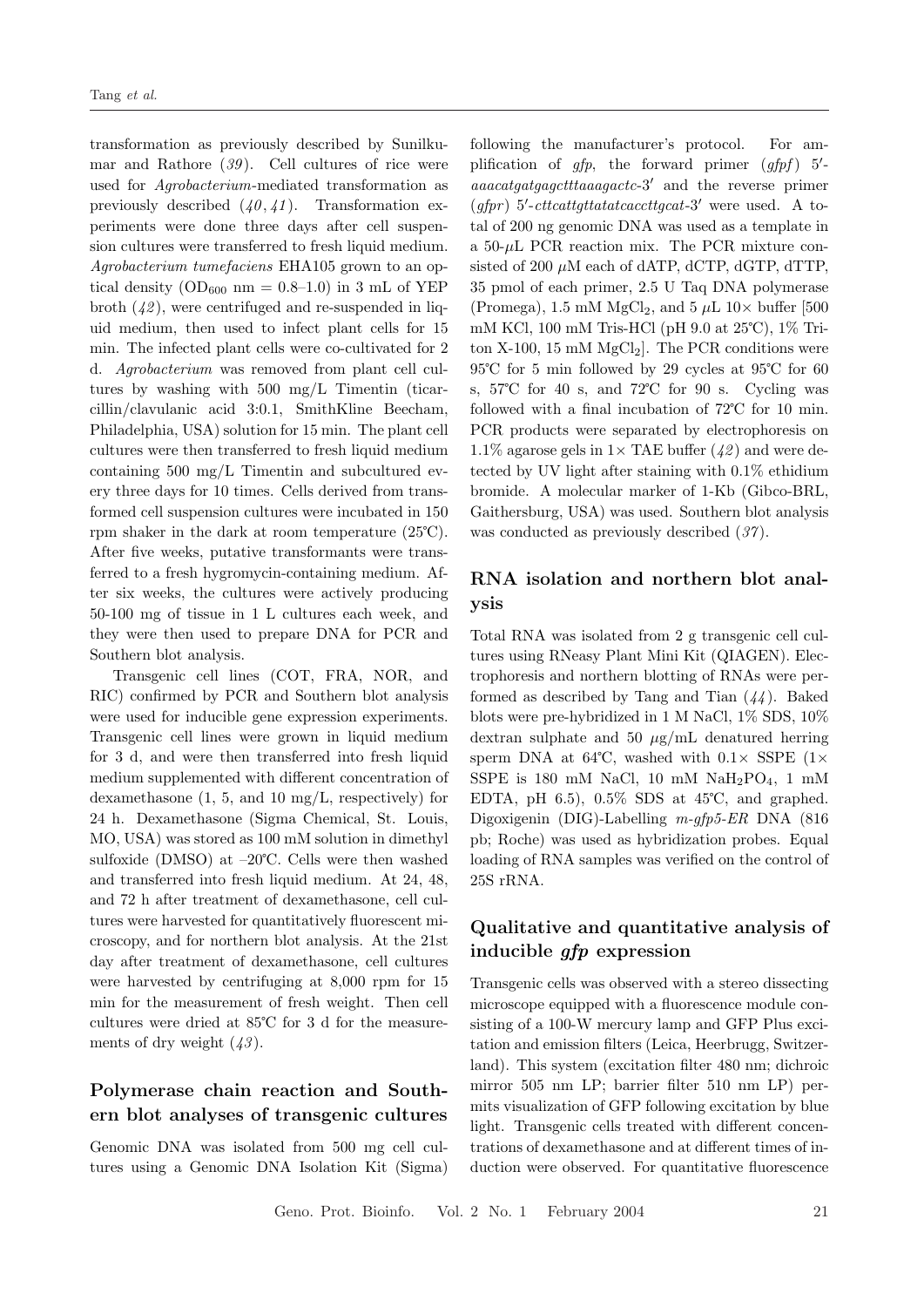transformation as previously described by Sunilkumar and Rathore  $(39)$ . Cell cultures of rice were used for Agrobacterium-mediated transformation as previously described  $(40, 41)$ . Transformation experiments were done three days after cell suspension cultures were transferred to fresh liquid medium. Agrobacterium tumefaciens EHA105 grown to an optical density  $OD_{600}$  nm = 0.8–1.0) in 3 mL of YEP broth  $(42)$ , were centrifuged and re-suspended in liquid medium, then used to infect plant cells for 15 min. The infected plant cells were co-cultivated for 2 d. Agrobacterium was removed from plant cell cultures by washing with 500 mg/L Timentin (ticarcillin/clavulanic acid 3:0.1, SmithKline Beecham, Philadelphia, USA) solution for 15 min. The plant cell cultures were then transferred to fresh liquid medium containing 500 mg/L Timentin and subcultured every three days for 10 times. Cells derived from transformed cell suspension cultures were incubated in 150 rpm shaker in the dark at room temperature (25℃). After five weeks, putative transformants were transferred to a fresh hygromycin-containing medium. After six weeks, the cultures were actively producing 50-100 mg of tissue in 1 L cultures each week, and they were then used to prepare DNA for PCR and Southern blot analysis.

Transgenic cell lines (COT, FRA, NOR, and RIC) confirmed by PCR and Southern blot analysis were used for inducible gene expression experiments. Transgenic cell lines were grown in liquid medium for 3 d, and were then transferred into fresh liquid medium supplemented with different concentration of dexamethasone (1, 5, and 10 mg/L, respectively) for 24 h. Dexamethasone (Sigma Chemical, St. Louis, MO, USA) was stored as 100 mM solution in dimethyl sulfoxide (DMSO) at –20℃. Cells were then washed and transferred into fresh liquid medium. At 24, 48, and 72 h after treatment of dexamethasone, cell cultures were harvested for quantitatively fluorescent microscopy, and for northern blot analysis. At the 21st day after treatment of dexamethasone, cell cultures were harvested by centrifuging at 8,000 rpm for 15 min for the measurement of fresh weight. Then cell cultures were dried at 85℃ for 3 d for the measurements of dry weight  $(43)$ .

### Polymerase chain reaction and Southern blot analyses of transgenic cultures

Genomic DNA was isolated from 500 mg cell cultures using a Genomic DNA Isolation Kit (Sigma)

following the manufacturer's protocol. For amplification of  $gfp$ , the forward primer  $(gfpf)$  5'aaacatgatgagctttaaagactc-3<sup>0</sup> and the reverse primer (gfpr)  $5'-cttcattgttata tacacttgcat-3'$  were used. A total of 200 ng genomic DNA was used as a template in a  $50-\mu L$  PCR reaction mix. The PCR mixture consisted of 200  $\mu$ M each of dATP, dCTP, dGTP, dTTP, 35 pmol of each primer, 2.5 U Taq DNA polymerase (Promega), 1.5 mM MgCl<sub>2</sub>, and 5  $\mu$ L 10 $\times$  buffer [500 mM KCl, 100 mM Tris-HCl (pH 9.0 at 25℃), 1% Triton X-100, 15 mM  $MgCl<sub>2</sub>$ . The PCR conditions were 95℃ for 5 min followed by 29 cycles at 95℃ for 60 s, 57℃ for 40 s, and 72℃ for 90 s. Cycling was followed with a final incubation of 72℃ for 10 min. PCR products were separated by electrophoresis on 1.1% agarose gels in  $1 \times$  TAE buffer  $(42)$  and were detected by UV light after staining with 0.1% ethidium bromide. A molecular marker of 1-Kb (Gibco-BRL, Gaithersburg, USA) was used. Southern blot analysis was conducted as previously described  $(37)$ .

### RNA isolation and northern blot analysis

Total RNA was isolated from 2 g transgenic cell cultures using RNeasy Plant Mini Kit (QIAGEN). Electrophoresis and northern blotting of RNAs were performed as described by Tang and Tian  $(44)$ . Baked blots were pre-hybridized in 1 M NaCl, 1% SDS, 10% dextran sulphate and 50  $\mu$ g/mL denatured herring sperm DNA at 64°C, washed with  $0.1 \times$  SSPE ( $1 \times$ SSPE is 180 mM NaCl, 10 mM  $NaH_2PO_4$ , 1 mM EDTA, pH  $6.5$ ),  $0.5\%$  SDS at  $45^{\circ}$ C, and graphed. Digoxigenin (DIG)-Labelling m-gfp5-ER DNA (816 pb; Roche) was used as hybridization probes. Equal loading of RNA samples was verified on the control of 25S rRNA.

### Qualitative and quantitative analysis of inducible gfp expression

Transgenic cells was observed with a stereo dissecting microscope equipped with a fluorescence module consisting of a 100-W mercury lamp and GFP Plus excitation and emission filters (Leica, Heerbrugg, Switzerland). This system (excitation filter 480 nm; dichroic mirror 505 nm LP; barrier filter 510 nm LP) permits visualization of GFP following excitation by blue light. Transgenic cells treated with different concentrations of dexamethasone and at different times of induction were observed. For quantitative fluorescence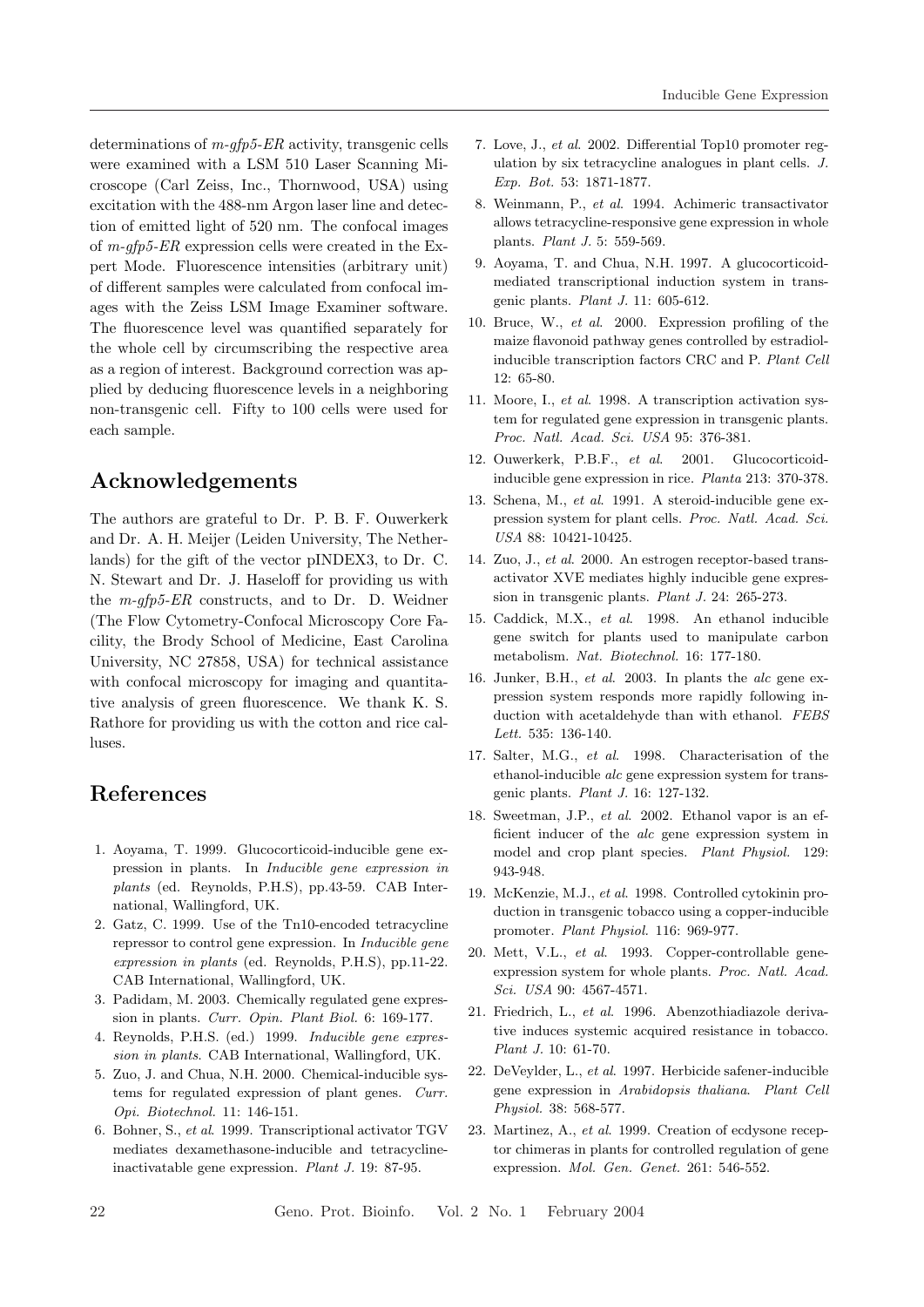determinations of m-gfp5-ER activity, transgenic cells were examined with a LSM 510 Laser Scanning Microscope (Carl Zeiss, Inc., Thornwood, USA) using excitation with the 488-nm Argon laser line and detection of emitted light of 520 nm. The confocal images of  $m$ -gfp5-ER expression cells were created in the Expert Mode. Fluorescence intensities (arbitrary unit) of different samples were calculated from confocal images with the Zeiss LSM Image Examiner software. The fluorescence level was quantified separately for the whole cell by circumscribing the respective area as a region of interest. Background correction was applied by deducing fluorescence levels in a neighboring non-transgenic cell. Fifty to 100 cells were used for each sample.

# Acknowledgements

The authors are grateful to Dr. P. B. F. Ouwerkerk and Dr. A. H. Meijer (Leiden University, The Netherlands) for the gift of the vector pINDEX3, to Dr. C. N. Stewart and Dr. J. Haseloff for providing us with the  $m\text{-}qfp5\text{-}ER$  constructs, and to Dr. D. Weidner (The Flow Cytometry-Confocal Microscopy Core Facility, the Brody School of Medicine, East Carolina University, NC 27858, USA) for technical assistance with confocal microscopy for imaging and quantitative analysis of green fluorescence. We thank K. S. Rathore for providing us with the cotton and rice calluses.

# References

- 1. Aoyama, T. 1999. Glucocorticoid-inducible gene expression in plants. In Inducible gene expression in plants (ed. Reynolds, P.H.S), pp.43-59. CAB International, Wallingford, UK.
- 2. Gatz, C. 1999. Use of the Tn10-encoded tetracycline repressor to control gene expression. In Inducible gene expression in plants (ed. Reynolds, P.H.S), pp.11-22. CAB International, Wallingford, UK.
- 3. Padidam, M. 2003. Chemically regulated gene expression in plants. Curr. Opin. Plant Biol. 6: 169-177.
- 4. Reynolds, P.H.S. (ed.) 1999. Inducible gene expression in plants. CAB International, Wallingford, UK.
- 5. Zuo, J. and Chua, N.H. 2000. Chemical-inducible systems for regulated expression of plant genes. Curr. Opi. Biotechnol. 11: 146-151.
- 6. Bohner, S., et al. 1999. Transcriptional activator TGV mediates dexamethasone-inducible and tetracyclineinactivatable gene expression. Plant J. 19: 87-95.
- 7. Love, J., et al. 2002. Differential Top10 promoter regulation by six tetracycline analogues in plant cells. J. Exp. Bot. 53: 1871-1877.
- 8. Weinmann, P., et al. 1994. Achimeric transactivator allows tetracycline-responsive gene expression in whole plants. Plant J. 5: 559-569.
- 9. Aoyama, T. and Chua, N.H. 1997. A glucocorticoidmediated transcriptional induction system in transgenic plants. Plant J. 11: 605-612.
- 10. Bruce, W., et al. 2000. Expression profiling of the maize flavonoid pathway genes controlled by estradiolinducible transcription factors CRC and P. Plant Cell 12: 65-80.
- 11. Moore, I., et al. 1998. A transcription activation system for regulated gene expression in transgenic plants. Proc. Natl. Acad. Sci. USA 95: 376-381.
- 12. Ouwerkerk, P.B.F., et al. 2001. Glucocorticoidinducible gene expression in rice. Planta 213: 370-378.
- 13. Schena, M., et al. 1991. A steroid-inducible gene expression system for plant cells. Proc. Natl. Acad. Sci. USA 88: 10421-10425.
- 14. Zuo, J., et al. 2000. An estrogen receptor-based transactivator XVE mediates highly inducible gene expression in transgenic plants. Plant J. 24: 265-273.
- 15. Caddick, M.X., et al. 1998. An ethanol inducible gene switch for plants used to manipulate carbon metabolism. Nat. Biotechnol. 16: 177-180.
- 16. Junker, B.H., et al. 2003. In plants the alc gene expression system responds more rapidly following induction with acetaldehyde than with ethanol. FEBS Lett. 535: 136-140.
- 17. Salter, M.G., et al. 1998. Characterisation of the ethanol-inducible alc gene expression system for transgenic plants. Plant J. 16: 127-132.
- 18. Sweetman, J.P., et al. 2002. Ethanol vapor is an efficient inducer of the alc gene expression system in model and crop plant species. Plant Physiol. 129: 943-948.
- 19. McKenzie, M.J., et al. 1998. Controlled cytokinin production in transgenic tobacco using a copper-inducible promoter. Plant Physiol. 116: 969-977.
- 20. Mett, V.L., et al. 1993. Copper-controllable geneexpression system for whole plants. Proc. Natl. Acad. Sci. USA 90: 4567-4571.
- 21. Friedrich, L., et al. 1996. Abenzothiadiazole derivative induces systemic acquired resistance in tobacco. Plant J. 10: 61-70.
- 22. DeVeylder, L., et al. 1997. Herbicide safener-inducible gene expression in Arabidopsis thaliana. Plant Cell Physiol. 38: 568-577.
- 23. Martinez, A., et al. 1999. Creation of ecdysone receptor chimeras in plants for controlled regulation of gene expression. Mol. Gen. Genet. 261: 546-552.